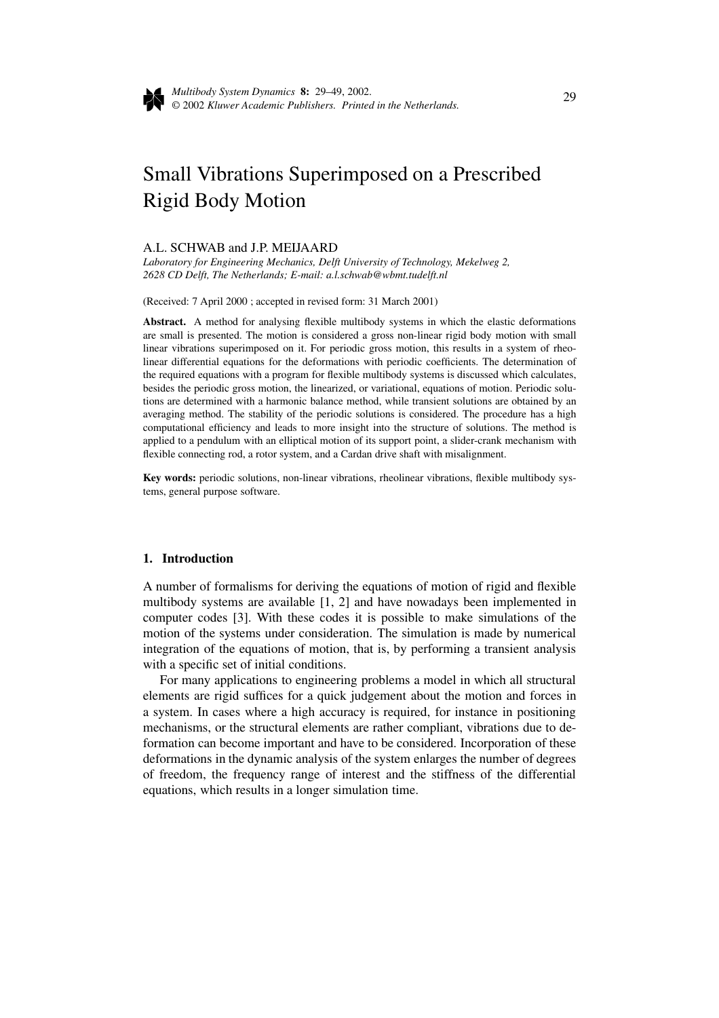

# Small Vibrations Superimposed on a Prescribed Rigid Body Motion

# A.L. SCHWAB and J.P. MEIJAARD

*Laboratory for Engineering Mechanics, Delft University of Technology, Mekelweg 2, 2628 CD Delft, The Netherlands; E-mail: a.l.schwab@wbmt.tudelft.nl*

(Received: 7 April 2000 ; accepted in revised form: 31 March 2001)

**Abstract.** A method for analysing flexible multibody systems in which the elastic deformations are small is presented. The motion is considered a gross non-linear rigid body motion with small linear vibrations superimposed on it. For periodic gross motion, this results in a system of rheolinear differential equations for the deformations with periodic coefficients. The determination of the required equations with a program for flexible multibody systems is discussed which calculates, besides the periodic gross motion, the linearized, or variational, equations of motion. Periodic solutions are determined with a harmonic balance method, while transient solutions are obtained by an averaging method. The stability of the periodic solutions is considered. The procedure has a high computational efficiency and leads to more insight into the structure of solutions. The method is applied to a pendulum with an elliptical motion of its support point, a slider-crank mechanism with flexible connecting rod, a rotor system, and a Cardan drive shaft with misalignment.

**Key words:** periodic solutions, non-linear vibrations, rheolinear vibrations, flexible multibody systems, general purpose software.

## **1. Introduction**

A number of formalisms for deriving the equations of motion of rigid and flexible multibody systems are available [1, 2] and have nowadays been implemented in computer codes [3]. With these codes it is possible to make simulations of the motion of the systems under consideration. The simulation is made by numerical integration of the equations of motion, that is, by performing a transient analysis with a specific set of initial conditions.

For many applications to engineering problems a model in which all structural elements are rigid suffices for a quick judgement about the motion and forces in a system. In cases where a high accuracy is required, for instance in positioning mechanisms, or the structural elements are rather compliant, vibrations due to deformation can become important and have to be considered. Incorporation of these deformations in the dynamic analysis of the system enlarges the number of degrees of freedom, the frequency range of interest and the stiffness of the differential equations, which results in a longer simulation time.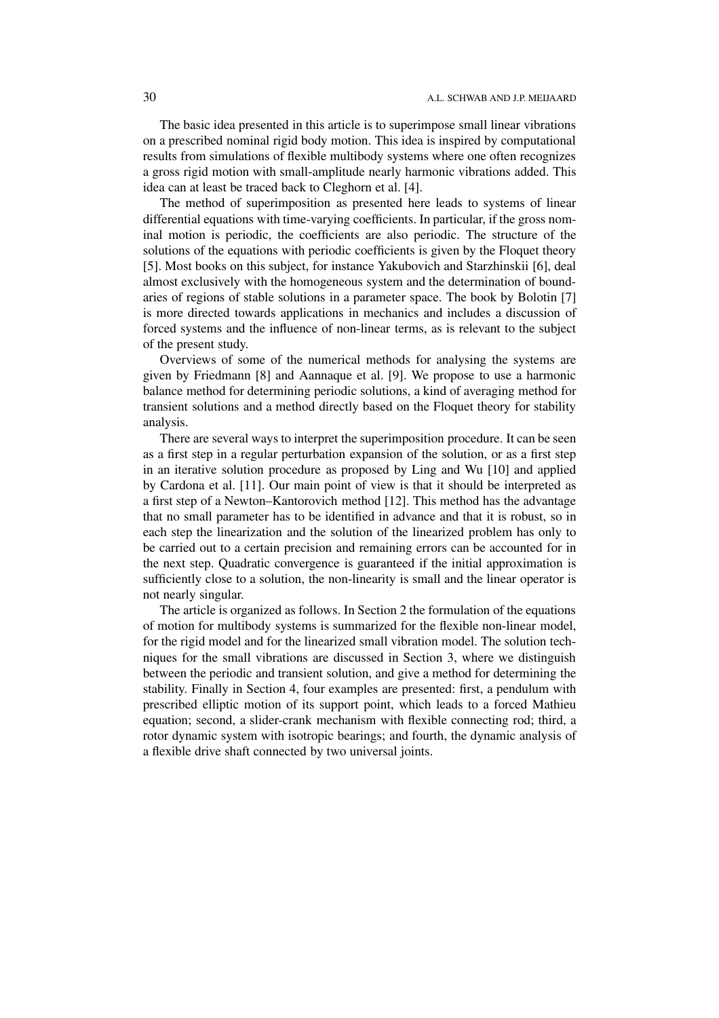The basic idea presented in this article is to superimpose small linear vibrations on a prescribed nominal rigid body motion. This idea is inspired by computational results from simulations of flexible multibody systems where one often recognizes a gross rigid motion with small-amplitude nearly harmonic vibrations added. This idea can at least be traced back to Cleghorn et al. [4].

The method of superimposition as presented here leads to systems of linear differential equations with time-varying coefficients. In particular, if the gross nominal motion is periodic, the coefficients are also periodic. The structure of the solutions of the equations with periodic coefficients is given by the Floquet theory [5]. Most books on this subject, for instance Yakubovich and Starzhinskii [6], deal almost exclusively with the homogeneous system and the determination of boundaries of regions of stable solutions in a parameter space. The book by Bolotin [7] is more directed towards applications in mechanics and includes a discussion of forced systems and the influence of non-linear terms, as is relevant to the subject of the present study.

Overviews of some of the numerical methods for analysing the systems are given by Friedmann [8] and Aannaque et al. [9]. We propose to use a harmonic balance method for determining periodic solutions, a kind of averaging method for transient solutions and a method directly based on the Floquet theory for stability analysis.

There are several ways to interpret the superimposition procedure. It can be seen as a first step in a regular perturbation expansion of the solution, or as a first step in an iterative solution procedure as proposed by Ling and Wu [10] and applied by Cardona et al. [11]. Our main point of view is that it should be interpreted as a first step of a Newton–Kantorovich method [12]. This method has the advantage that no small parameter has to be identified in advance and that it is robust, so in each step the linearization and the solution of the linearized problem has only to be carried out to a certain precision and remaining errors can be accounted for in the next step. Quadratic convergence is guaranteed if the initial approximation is sufficiently close to a solution, the non-linearity is small and the linear operator is not nearly singular.

The article is organized as follows. In Section 2 the formulation of the equations of motion for multibody systems is summarized for the flexible non-linear model, for the rigid model and for the linearized small vibration model. The solution techniques for the small vibrations are discussed in Section 3, where we distinguish between the periodic and transient solution, and give a method for determining the stability. Finally in Section 4, four examples are presented: first, a pendulum with prescribed elliptic motion of its support point, which leads to a forced Mathieu equation; second, a slider-crank mechanism with flexible connecting rod; third, a rotor dynamic system with isotropic bearings; and fourth, the dynamic analysis of a flexible drive shaft connected by two universal joints.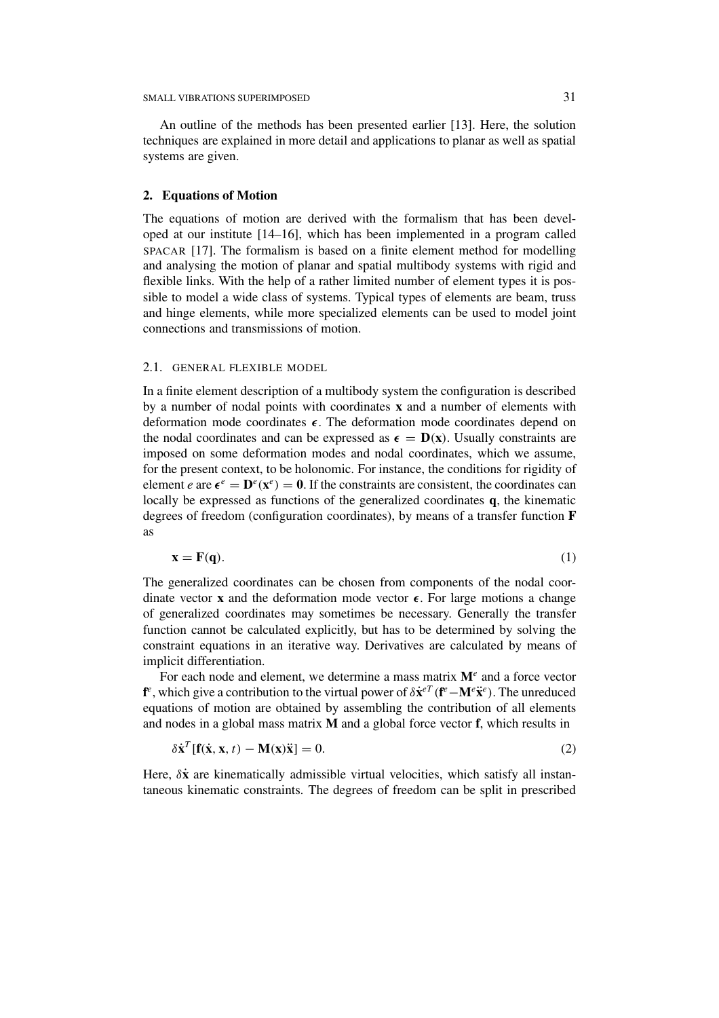An outline of the methods has been presented earlier [13]. Here, the solution techniques are explained in more detail and applications to planar as well as spatial systems are given.

# **2. Equations of Motion**

The equations of motion are derived with the formalism that has been developed at our institute [14–16], which has been implemented in a program called SPACAR [17]. The formalism is based on a finite element method for modelling and analysing the motion of planar and spatial multibody systems with rigid and flexible links. With the help of a rather limited number of element types it is possible to model a wide class of systems. Typical types of elements are beam, truss and hinge elements, while more specialized elements can be used to model joint connections and transmissions of motion.

# 2.1. GENERAL FLEXIBLE MODEL

In a finite element description of a multibody system the configuration is described by a number of nodal points with coordinates **x** and a number of elements with deformation mode coordinates  $\epsilon$ . The deformation mode coordinates depend on the nodal coordinates and can be expressed as  $\epsilon = D(x)$ . Usually constraints are imposed on some deformation modes and nodal coordinates, which we assume, for the present context, to be holonomic. For instance, the conditions for rigidity of element *e* are  $\epsilon^e = D^e(\mathbf{x}^e) = 0$ . If the constraints are consistent, the coordinates can locally be expressed as functions of the generalized coordinates **q**, the kinematic degrees of freedom (configuration coordinates), by means of a transfer function **F** as

$$
\mathbf{x} = \mathbf{F}(\mathbf{q}).\tag{1}
$$

The generalized coordinates can be chosen from components of the nodal coordinate vector **x** and the deformation mode vector  $\epsilon$ . For large motions a change of generalized coordinates may sometimes be necessary. Generally the transfer function cannot be calculated explicitly, but has to be determined by solving the constraint equations in an iterative way. Derivatives are calculated by means of implicit differentiation.

For each node and element, we determine a mass matrix **M***<sup>e</sup>* and a force vector **f**<sup>ε</sup>, which give a contribution to the virtual power of  $\delta \dot{\mathbf{x}}^{eT}$  (**f**<sup>ε</sup> −**M**<sup>*e*</sup>  $\ddot{\mathbf{x}}^{e}$ ). The unreduced equations of motion are obtained by assembling the contribution of all elements and nodes in a global mass matrix **M** and a global force vector **f**, which results in

$$
\delta \dot{\mathbf{x}}^T [\mathbf{f}(\dot{\mathbf{x}}, \mathbf{x}, t) - \mathbf{M}(\mathbf{x}) \ddot{\mathbf{x}}] = 0.
$$
 (2)

Here,  $\delta \dot{x}$  are kinematically admissible virtual velocities, which satisfy all instantaneous kinematic constraints. The degrees of freedom can be split in prescribed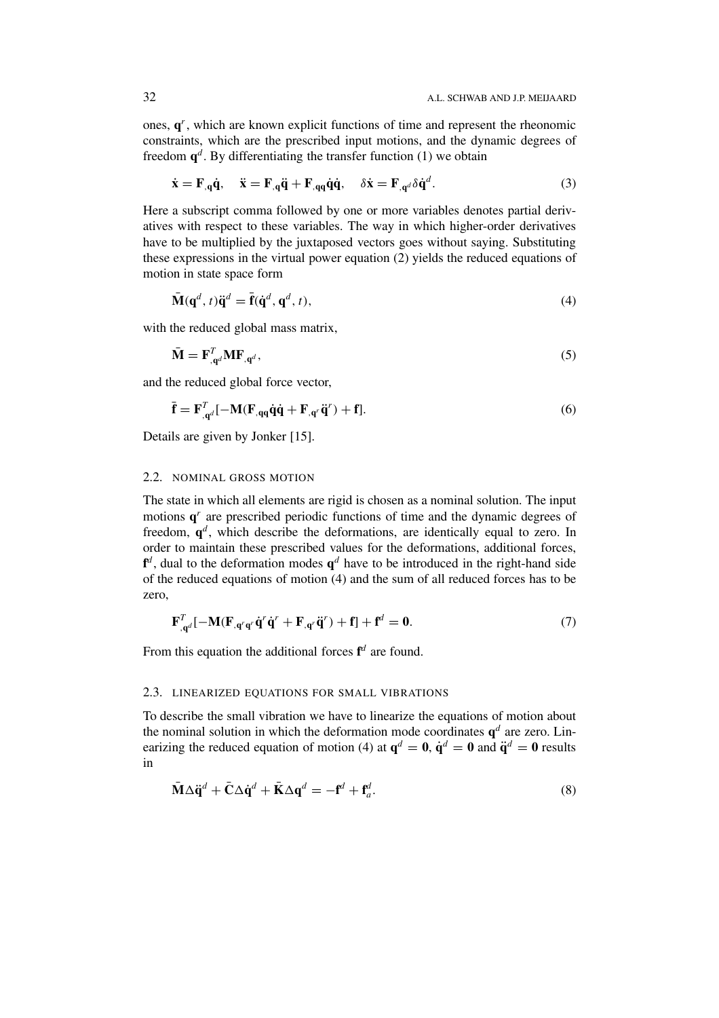ones, **q***<sup>r</sup>*, which are known explicit functions of time and represent the rheonomic constraints, which are the prescribed input motions, and the dynamic degrees of freedom  $q^d$ . By differentiating the transfer function (1) we obtain

$$
\dot{\mathbf{x}} = \mathbf{F}_{,\mathbf{q}} \dot{\mathbf{q}}, \quad \ddot{\mathbf{x}} = \mathbf{F}_{,\mathbf{q}} \ddot{\mathbf{q}} + \mathbf{F}_{,\mathbf{q}\mathbf{q}} \dot{\mathbf{q}} \dot{\mathbf{q}}, \quad \delta \dot{\mathbf{x}} = \mathbf{F}_{,\mathbf{q}} a \delta \dot{\mathbf{q}}^d. \tag{3}
$$

Here a subscript comma followed by one or more variables denotes partial derivatives with respect to these variables. The way in which higher-order derivatives have to be multiplied by the juxtaposed vectors goes without saying. Substituting these expressions in the virtual power equation (2) yields the reduced equations of motion in state space form

$$
\bar{\mathbf{M}}(\mathbf{q}^d, t)\ddot{\mathbf{q}}^d = \bar{\mathbf{f}}(\dot{\mathbf{q}}^d, \mathbf{q}^d, t),\tag{4}
$$

with the reduced global mass matrix,

$$
\bar{\mathbf{M}} = \mathbf{F}_{,\mathbf{q}^d}^T \mathbf{M} \mathbf{F}_{,\mathbf{q}^d},\tag{5}
$$

and the reduced global force vector,

$$
\overline{\mathbf{f}} = \mathbf{F}_{,\mathbf{q}^d}^T[-\mathbf{M}(\mathbf{F}_{,\mathbf{q}\mathbf{q}}\dot{\mathbf{q}}\dot{\mathbf{q}} + \mathbf{F}_{,\mathbf{q}'}\ddot{\mathbf{q}}') + \mathbf{f}].
$$
 (6)

Details are given by Jonker [15].

#### 2.2. NOMINAL GROSS MOTION

The state in which all elements are rigid is chosen as a nominal solution. The input motions  $\mathbf{q}^r$  are prescribed periodic functions of time and the dynamic degrees of freedom,  $\mathbf{q}^d$ , which describe the deformations, are identically equal to zero. In order to maintain these prescribed values for the deformations, additional forces, **f** *<sup>d</sup>* , dual to the deformation modes **q***<sup>d</sup>* have to be introduced in the right-hand side of the reduced equations of motion (4) and the sum of all reduced forces has to be zero,

$$
\mathbf{F}_{,q^{d}}^{T}[-\mathbf{M}(\mathbf{F}_{,q^{r}q^{r}}\dot{\mathbf{q}}^{r}\dot{\mathbf{q}}^{r}+\mathbf{F}_{,q^{r}}\ddot{\mathbf{q}}^{r})+\mathbf{f}]+\mathbf{f}^{d}=\mathbf{0}.
$$
 (7)

From this equation the additional forces  $f<sup>d</sup>$  are found.

#### 2.3. LINEARIZED EQUATIONS FOR SMALL VIBRATIONS

To describe the small vibration we have to linearize the equations of motion about the nominal solution in which the deformation mode coordinates  $q<sup>d</sup>$  are zero. Linearizing the reduced equation of motion (4) at  $q^d = 0$ ,  $\dot{q}^d = 0$  and  $\ddot{q}^d = 0$  results in

$$
\bar{\mathbf{M}} \Delta \ddot{\mathbf{q}}^d + \bar{\mathbf{C}} \Delta \dot{\mathbf{q}}^d + \bar{\mathbf{K}} \Delta \mathbf{q}^d = -\mathbf{f}^d + \mathbf{f}_a^d.
$$
 (8)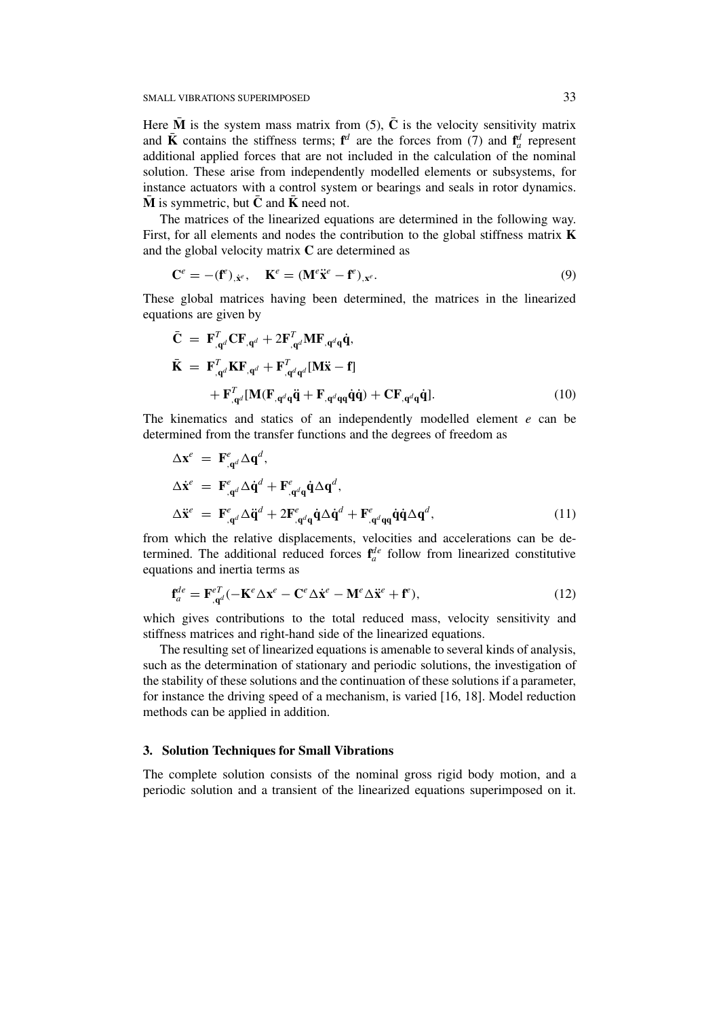Here  $\overline{M}$  is the system mass matrix from (5),  $\overline{C}$  is the velocity sensitivity matrix and  $\bar{\mathbf{K}}$  contains the stiffness terms;  $\mathbf{f}^d$  are the forces from (7) and  $\mathbf{f}^d$  represent additional applied forces that are not included in the calculation of the nominal solution. These arise from independently modelled elements or subsystems, for instance actuators with a control system or bearings and seals in rotor dynamics.  $\overline{M}$  is symmetric, but  $\overline{C}$  and  $\overline{K}$  need not.

The matrices of the linearized equations are determined in the following way. First, for all elements and nodes the contribution to the global stiffness matrix **K** and the global velocity matrix **C** are determined as

$$
\mathbf{C}^e = -(\mathbf{f}^e)_{,\dot{\mathbf{x}}^e}, \quad \mathbf{K}^e = (\mathbf{M}^e \ddot{\mathbf{x}}^e - \mathbf{f}^e)_{,\mathbf{x}^e}.
$$
\n(9)

These global matrices having been determined, the matrices in the linearized equations are given by

$$
\bar{\mathbf{C}} = \mathbf{F}_{,q}^{T} \mathbf{C} \mathbf{F}_{,q} + 2 \mathbf{F}_{,q}^{T} \mathbf{M} \mathbf{F}_{,q} \dot{q} \dot{\mathbf{q}},
$$
\n
$$
\bar{\mathbf{K}} = \mathbf{F}_{,q}^{T} \mathbf{K} \mathbf{F}_{,q} + \mathbf{F}_{,q}^{T} \dot{q} \mathbf{M} \ddot{\mathbf{X}} - \mathbf{f}]
$$
\n
$$
+ \mathbf{F}_{,q}^{T} \left[ \mathbf{M} (\mathbf{F}_{,q} \dot{q} \dot{\mathbf{q}} + \mathbf{F}_{,q} \dot{q} \dot{\mathbf{q}} \dot{\mathbf{q}}) + \mathbf{C} \mathbf{F}_{,q} \dot{q} \dot{\mathbf{q}} \dot{\mathbf{q}} \right].
$$
\n(10)

The kinematics and statics of an independently modelled element *e* can be determined from the transfer functions and the degrees of freedom as

$$
\Delta \mathbf{x}^{e} = \mathbf{F}_{,\mathbf{q}^{d}}^{e} \Delta \mathbf{q}^{d},
$$
  
\n
$$
\Delta \dot{\mathbf{x}}^{e} = \mathbf{F}_{,\mathbf{q}^{d}}^{e} \Delta \dot{\mathbf{q}}^{d} + \mathbf{F}_{,\mathbf{q}^{d}\mathbf{q}}^{e} \dot{\mathbf{q}} \Delta \mathbf{q}^{d},
$$
  
\n
$$
\Delta \ddot{\mathbf{x}}^{e} = \mathbf{F}_{,\mathbf{q}^{d}}^{e} \Delta \ddot{\mathbf{q}}^{d} + 2 \mathbf{F}_{,\mathbf{q}^{d}\mathbf{q}}^{e} \dot{\mathbf{q}} \Delta \dot{\mathbf{q}}^{d} + \mathbf{F}_{,\mathbf{q}^{d}\mathbf{q} \dot{\mathbf{q}}}^{e} \dot{\mathbf{q}} \dot{\mathbf{q}}.
$$
\n(11)

from which the relative displacements, velocities and accelerations can be determined. The additional reduced forces  $f_a^{de}$  follow from linearized constitutive equations and inertia terms as

$$
\mathbf{f}_{a}^{de} = \mathbf{F}_{,\mathbf{q}^{d}}^{eT}(-\mathbf{K}^{e}\Delta\mathbf{x}^{e} - \mathbf{C}^{e}\Delta\dot{\mathbf{x}}^{e} - \mathbf{M}^{e}\Delta\ddot{\mathbf{x}}^{e} + \mathbf{f}^{e}),
$$
\n(12)

which gives contributions to the total reduced mass, velocity sensitivity and stiffness matrices and right-hand side of the linearized equations.

The resulting set of linearized equations is amenable to several kinds of analysis, such as the determination of stationary and periodic solutions, the investigation of the stability of these solutions and the continuation of these solutions if a parameter, for instance the driving speed of a mechanism, is varied [16, 18]. Model reduction methods can be applied in addition.

# **3. Solution Techniques for Small Vibrations**

The complete solution consists of the nominal gross rigid body motion, and a periodic solution and a transient of the linearized equations superimposed on it.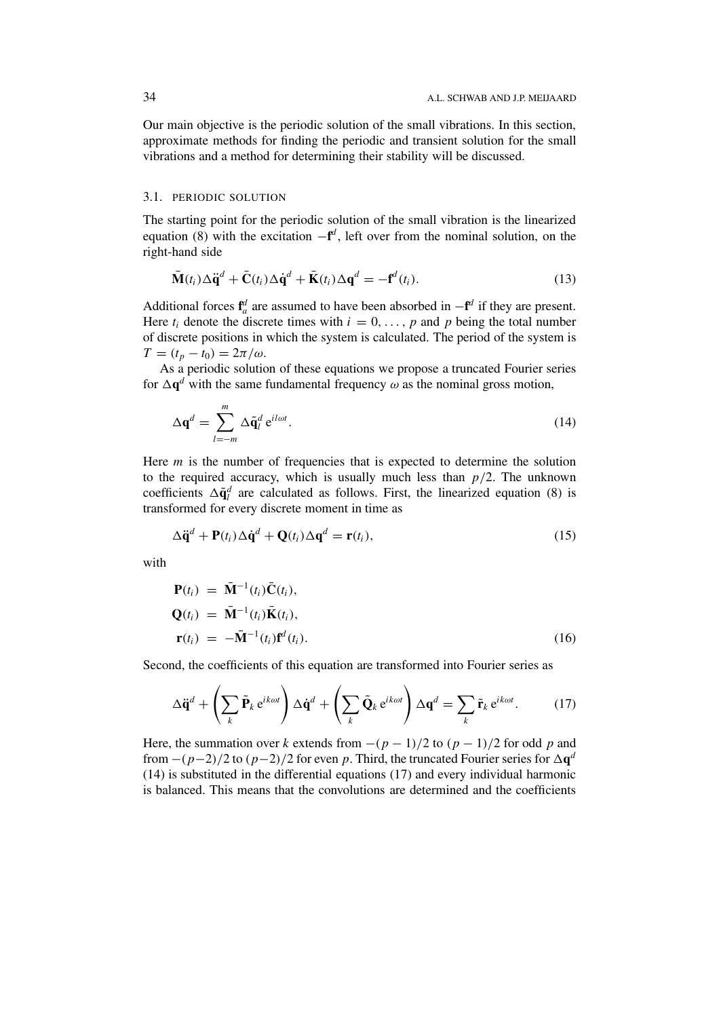Our main objective is the periodic solution of the small vibrations. In this section, approximate methods for finding the periodic and transient solution for the small vibrations and a method for determining their stability will be discussed.

## 3.1. PERIODIC SOLUTION

The starting point for the periodic solution of the small vibration is the linearized equation (8) with the excitation  $-\mathbf{f}^{d}$ , left over from the nominal solution, on the right-hand side

$$
\overline{\mathbf{M}}(t_i) \Delta \ddot{\mathbf{q}}^d + \overline{\mathbf{C}}(t_i) \Delta \dot{\mathbf{q}}^d + \overline{\mathbf{K}}(t_i) \Delta \mathbf{q}^d = -\mathbf{f}^d(t_i). \tag{13}
$$

Additional forces  $f_a^d$  are assumed to have been absorbed in  $-f_d^d$  if they are present. Here  $t_i$  denote the discrete times with  $i = 0, \ldots, p$  and p being the total number of discrete positions in which the system is calculated. The period of the system is  $T = (t_p - t_0) = 2\pi/\omega$ .

As a periodic solution of these equations we propose a truncated Fourier series for  $\Delta q^d$  with the same fundamental frequency  $\omega$  as the nominal gross motion,

$$
\Delta \mathbf{q}^d = \sum_{l=-m}^{m} \Delta \tilde{\mathbf{q}}_l^d e^{il\omega t}.
$$
 (14)

Here *m* is the number of frequencies that is expected to determine the solution to the required accuracy, which is usually much less than  $p/2$ . The unknown coefficients  $\Delta \tilde{\mathbf{q}}_l^d$  are calculated as follows. First, the linearized equation (8) is transformed for every discrete moment in time as

$$
\Delta \ddot{\mathbf{q}}^d + \mathbf{P}(t_i) \Delta \dot{\mathbf{q}}^d + \mathbf{Q}(t_i) \Delta \mathbf{q}^d = \mathbf{r}(t_i),
$$
\n(15)

with

$$
\begin{aligned}\n\mathbf{P}(t_i) &= \bar{\mathbf{M}}^{-1}(t_i)\bar{\mathbf{C}}(t_i), \\
\mathbf{Q}(t_i) &= \bar{\mathbf{M}}^{-1}(t_i)\bar{\mathbf{K}}(t_i), \\
\mathbf{r}(t_i) &= -\bar{\mathbf{M}}^{-1}(t_i)\mathbf{f}^d(t_i).\n\end{aligned} \tag{16}
$$

Second, the coefficients of this equation are transformed into Fourier series as

$$
\Delta \ddot{\mathbf{q}}^d + \left(\sum_k \tilde{\mathbf{P}}_k e^{ik\omega t}\right) \Delta \dot{\mathbf{q}}^d + \left(\sum_k \tilde{\mathbf{Q}}_k e^{ik\omega t}\right) \Delta \mathbf{q}^d = \sum_k \tilde{\mathbf{r}}_k e^{ik\omega t}.
$$
 (17)

Here, the summation over *k* extends from  $-(p-1)/2$  to  $(p-1)/2$  for odd *p* and from  $-(p-2)/2$  to  $(p-2)/2$  for even p. Third, the truncated Fourier series for  $\Delta \mathbf{q}^d$ (14) is substituted in the differential equations (17) and every individual harmonic is balanced. This means that the convolutions are determined and the coefficients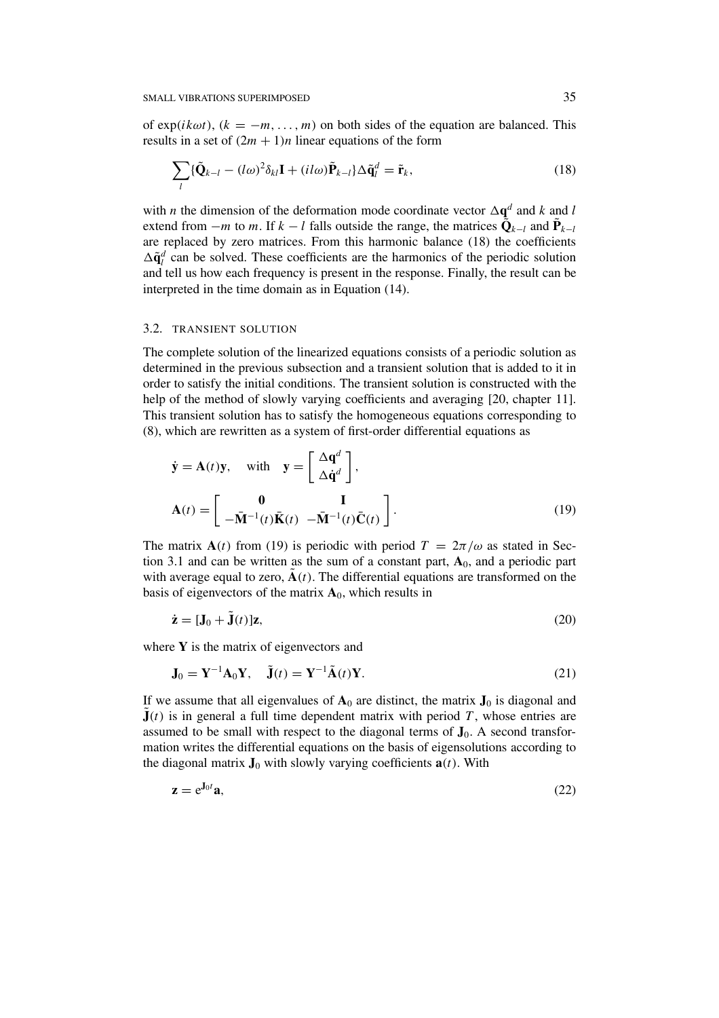of  $exp(ik\omega t)$ ,  $(k = -m, \ldots, m)$  on both sides of the equation are balanced. This results in a set of  $(2m + 1)n$  linear equations of the form

$$
\sum_{l} \{ \tilde{\mathbf{Q}}_{k-l} - (l\omega)^2 \delta_{kl} \mathbf{I} + (il\omega) \tilde{\mathbf{P}}_{k-l} \} \Delta \tilde{\mathbf{q}}_l^d = \tilde{\mathbf{r}}_k, \tag{18}
$$

with *n* the dimension of the deformation mode coordinate vector  $\Delta q^d$  and *k* and *l* extend from  $-m$  to *m*. If  $k - l$  falls outside the range, the matrices  $Q_{k-l}$  and  $P_{k-l}$ are replaced by zero matrices. From this harmonic balance (18) the coefficients  $\Delta \tilde{\mathbf{q}}_l^d$  can be solved. These coefficients are the harmonics of the periodic solution and tell us how each frequency is present in the response. Finally, the result can be interpreted in the time domain as in Equation (14).

#### 3.2. TRANSIENT SOLUTION

The complete solution of the linearized equations consists of a periodic solution as determined in the previous subsection and a transient solution that is added to it in order to satisfy the initial conditions. The transient solution is constructed with the help of the method of slowly varying coefficients and averaging [20, chapter 11]. This transient solution has to satisfy the homogeneous equations corresponding to (8), which are rewritten as a system of first-order differential equations as

$$
\dot{\mathbf{y}} = \mathbf{A}(t)\mathbf{y}, \quad \text{with} \quad \mathbf{y} = \begin{bmatrix} \Delta \mathbf{q}^d \\ \Delta \dot{\mathbf{q}}^d \end{bmatrix},
$$

$$
\mathbf{A}(t) = \begin{bmatrix} \mathbf{0} & \mathbf{I} \\ -\bar{\mathbf{M}}^{-1}(t)\bar{\mathbf{K}}(t) & -\bar{\mathbf{M}}^{-1}(t)\bar{\mathbf{C}}(t) \end{bmatrix}.
$$
(19)

The matrix  $A(t)$  from (19) is periodic with period  $T = 2\pi/\omega$  as stated in Section 3.1 and can be written as the sum of a constant part,  $A_0$ , and a periodic part with average equal to zero,  $\tilde{A}(t)$ . The differential equations are transformed on the basis of eigenvectors of the matrix  $A_0$ , which results in

$$
\dot{\mathbf{z}} = [\mathbf{J}_0 + \tilde{\mathbf{J}}(t)]\mathbf{z},\tag{20}
$$

where **Y** is the matrix of eigenvectors and

$$
\mathbf{J}_0 = \mathbf{Y}^{-1} \mathbf{A}_0 \mathbf{Y}, \quad \tilde{\mathbf{J}}(t) = \mathbf{Y}^{-1} \tilde{\mathbf{A}}(t) \mathbf{Y}.
$$
 (21)

If we assume that all eigenvalues of  $A_0$  are distinct, the matrix  $J_0$  is diagonal and  $\mathbf{J}(t)$  is in general a full time dependent matrix with period T, whose entries are assumed to be small with respect to the diagonal terms of  $J_0$ . A second transformation writes the differential equations on the basis of eigensolutions according to the diagonal matrix  $\mathbf{J}_0$  with slowly varying coefficients  $\mathbf{a}(t)$ . With

$$
\mathbf{z} = e^{\mathbf{J}_0 t} \mathbf{a},\tag{22}
$$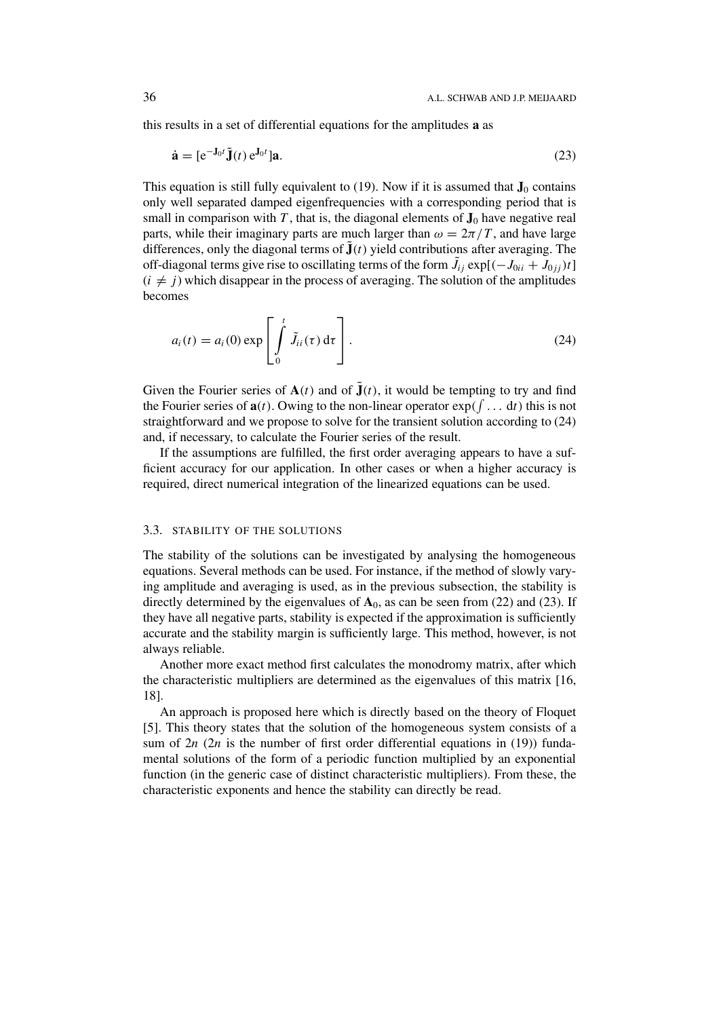this results in a set of differential equations for the amplitudes **a** as

$$
\dot{\mathbf{a}} = [e^{-\mathbf{J}_0 t} \tilde{\mathbf{J}}(t) e^{\mathbf{J}_0 t}] \mathbf{a}.
$$
 (23)

This equation is still fully equivalent to (19). Now if it is assumed that  $J_0$  contains only well separated damped eigenfrequencies with a corresponding period that is small in comparison with *T*, that is, the diagonal elements of  $J_0$  have negative real parts, while their imaginary parts are much larger than  $\omega = 2\pi/T$ , and have large differences, only the diagonal terms of  $\tilde{J}(t)$  yield contributions after averaging. The off-diagonal terms give rise to oscillating terms of the form  $\tilde{J}_{ij}$  exp[ $(-J_{0ii} + J_{0jj})t$ ]  $(i \neq j)$  which disappear in the process of averaging. The solution of the amplitudes becomes

$$
a_i(t) = a_i(0) \exp\left[\int_0^t \tilde{J}_{ii}(\tau) d\tau\right].
$$
 (24)

Given the Fourier series of  $A(t)$  and of  $\tilde{J}(t)$ , it would be tempting to try and find the Fourier series of  $\mathbf{a}(t)$ . Owing to the non-linear operator  $\exp(\int \ldots dt)$  this is not straightforward and we propose to solve for the transient solution according to (24) and, if necessary, to calculate the Fourier series of the result.

If the assumptions are fulfilled, the first order averaging appears to have a sufficient accuracy for our application. In other cases or when a higher accuracy is required, direct numerical integration of the linearized equations can be used.

# 3.3. STABILITY OF THE SOLUTIONS

The stability of the solutions can be investigated by analysing the homogeneous equations. Several methods can be used. For instance, if the method of slowly varying amplitude and averaging is used, as in the previous subsection, the stability is directly determined by the eigenvalues of  $A_0$ , as can be seen from (22) and (23). If they have all negative parts, stability is expected if the approximation is sufficiently accurate and the stability margin is sufficiently large. This method, however, is not always reliable.

Another more exact method first calculates the monodromy matrix, after which the characteristic multipliers are determined as the eigenvalues of this matrix [16, 18].

An approach is proposed here which is directly based on the theory of Floquet [5]. This theory states that the solution of the homogeneous system consists of a sum of  $2n$  ( $2n$  is the number of first order differential equations in (19)) fundamental solutions of the form of a periodic function multiplied by an exponential function (in the generic case of distinct characteristic multipliers). From these, the characteristic exponents and hence the stability can directly be read.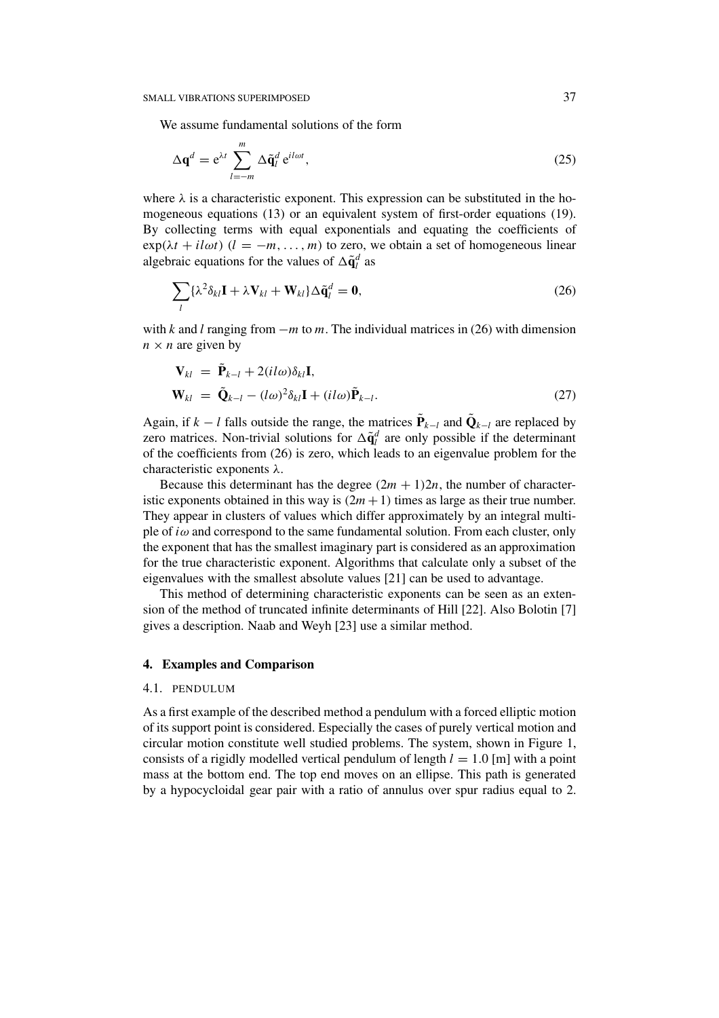We assume fundamental solutions of the form

$$
\Delta \mathbf{q}^d = e^{\lambda t} \sum_{l=-m}^{m} \Delta \tilde{\mathbf{q}}_l^d e^{il\omega t},
$$
\n(25)

where  $\lambda$  is a characteristic exponent. This expression can be substituted in the homogeneous equations (13) or an equivalent system of first-order equations (19). By collecting terms with equal exponentials and equating the coefficients of  $\exp(\lambda t + i\omega t)$   $(l = -m, ..., m)$  to zero, we obtain a set of homogeneous linear algebraic equations for the values of  $\Delta \tilde{\mathbf{q}}_l^d$  as

$$
\sum_{l} {\lambda^2 \delta_{kl} \mathbf{I} + \lambda \mathbf{V}_{kl} + \mathbf{W}_{kl} \} \Delta \tilde{\mathbf{q}}_l^d = \mathbf{0},
$$
\n(26)

with *k* and *l* ranging from −*m* to *m*. The individual matrices in (26) with dimension  $n \times n$  are given by

$$
\mathbf{V}_{kl} = \tilde{\mathbf{P}}_{k-l} + 2(i l \omega) \delta_{kl} \mathbf{I},
$$
  
\n
$$
\mathbf{W}_{kl} = \tilde{\mathbf{Q}}_{k-l} - (l \omega)^2 \delta_{kl} \mathbf{I} + (il \omega) \tilde{\mathbf{P}}_{k-l}.
$$
\n(27)

Again, if  $k - l$  falls outside the range, the matrices  $\tilde{P}_{k-l}$  and  $\tilde{Q}_{k-l}$  are replaced by zero matrices. Non-trivial solutions for  $\Delta \tilde{\mathbf{q}}_l^d$  are only possible if the determinant of the coefficients from (26) is zero, which leads to an eigenvalue problem for the characteristic exponents *λ*.

Because this determinant has the degree  $(2m + 1)2n$ , the number of characteristic exponents obtained in this way is  $(2m+1)$  times as large as their true number. They appear in clusters of values which differ approximately by an integral multiple of *iω* and correspond to the same fundamental solution. From each cluster, only the exponent that has the smallest imaginary part is considered as an approximation for the true characteristic exponent. Algorithms that calculate only a subset of the eigenvalues with the smallest absolute values [21] can be used to advantage.

This method of determining characteristic exponents can be seen as an extension of the method of truncated infinite determinants of Hill [22]. Also Bolotin [7] gives a description. Naab and Weyh [23] use a similar method.

## **4. Examples and Comparison**

#### 4.1. PENDULUM

As a first example of the described method a pendulum with a forced elliptic motion of its support point is considered. Especially the cases of purely vertical motion and circular motion constitute well studied problems. The system, shown in Figure 1, consists of a rigidly modelled vertical pendulum of length  $l = 1.0$  [m] with a point mass at the bottom end. The top end moves on an ellipse. This path is generated by a hypocycloidal gear pair with a ratio of annulus over spur radius equal to 2.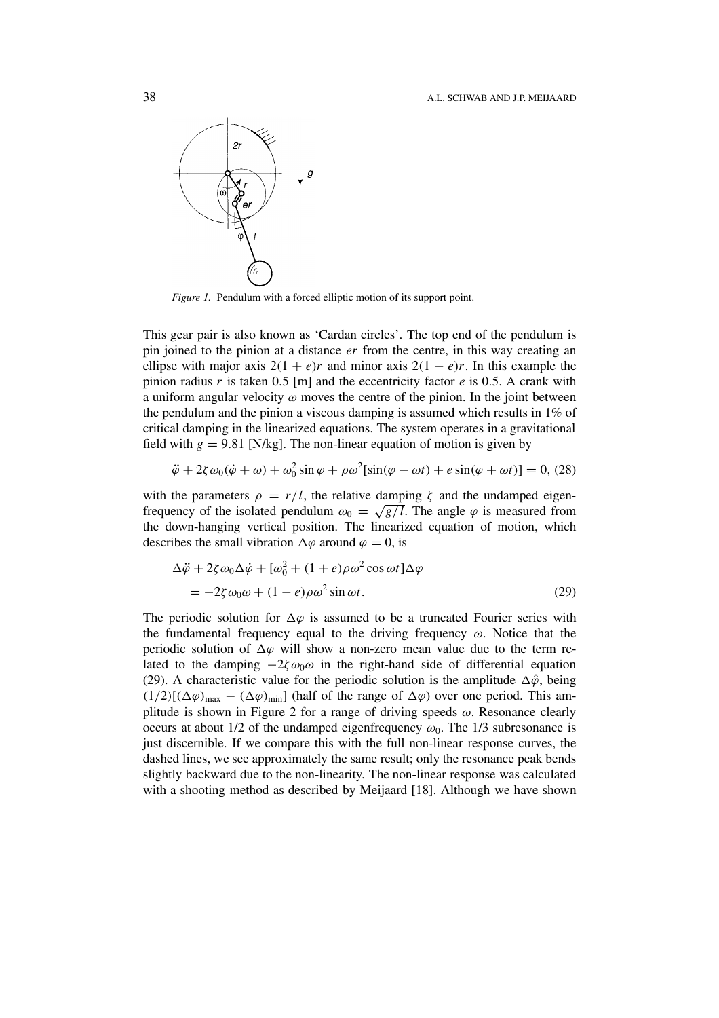

*Figure 1.* Pendulum with a forced elliptic motion of its support point.

This gear pair is also known as 'Cardan circles'. The top end of the pendulum is pin joined to the pinion at a distance *er* from the centre, in this way creating an ellipse with major axis  $2(1 + e)r$  and minor axis  $2(1 - e)r$ . In this example the pinion radius  $r$  is taken 0.5 [m] and the eccentricity factor  $e$  is 0.5. A crank with a uniform angular velocity  $\omega$  moves the centre of the pinion. In the joint between the pendulum and the pinion a viscous damping is assumed which results in 1% of critical damping in the linearized equations. The system operates in a gravitational field with  $g = 9.81$  [N/kg]. The non-linear equation of motion is given by

$$
\ddot{\varphi} + 2\zeta \omega_0(\dot{\varphi} + \omega) + \omega_0^2 \sin \varphi + \rho \omega^2 [\sin(\varphi - \omega t) + e \sin(\varphi + \omega t)] = 0, (28)
$$

with the parameters  $\rho = r/l$ , the relative damping  $\zeta$  and the undamped eigenfrequency of the isolated pendulum  $\omega_0 = \sqrt{g/l}$ . The angle  $\varphi$  is measured from the down-hanging vertical position. The linearized equation of motion, which describes the small vibration  $\Delta \varphi$  around  $\varphi = 0$ , is

$$
\Delta \ddot{\varphi} + 2\zeta \omega_0 \Delta \dot{\varphi} + [\omega_0^2 + (1 + e)\rho \omega^2 \cos \omega t] \Delta \varphi
$$
  
= 
$$
-2\zeta \omega_0 \omega + (1 - e)\rho \omega^2 \sin \omega t.
$$
 (29)

The periodic solution for  $\Delta\varphi$  is assumed to be a truncated Fourier series with the fundamental frequency equal to the driving frequency *ω*. Notice that the periodic solution of  $\Delta\varphi$  will show a non-zero mean value due to the term related to the damping  $-2\zeta \omega_0 \omega$  in the right-hand side of differential equation (29). A characteristic value for the periodic solution is the amplitude  $\Delta\hat{\varphi}$ , being  $(1/2)[(\Delta \varphi)_{\text{max}} - (\Delta \varphi)_{\text{min}}]$  (half of the range of  $\Delta \varphi$ ) over one period. This amplitude is shown in Figure 2 for a range of driving speeds *ω*. Resonance clearly occurs at about  $1/2$  of the undamped eigenfrequency  $\omega_0$ . The  $1/3$  subresonance is just discernible. If we compare this with the full non-linear response curves, the dashed lines, we see approximately the same result; only the resonance peak bends slightly backward due to the non-linearity. The non-linear response was calculated with a shooting method as described by Meijaard [18]. Although we have shown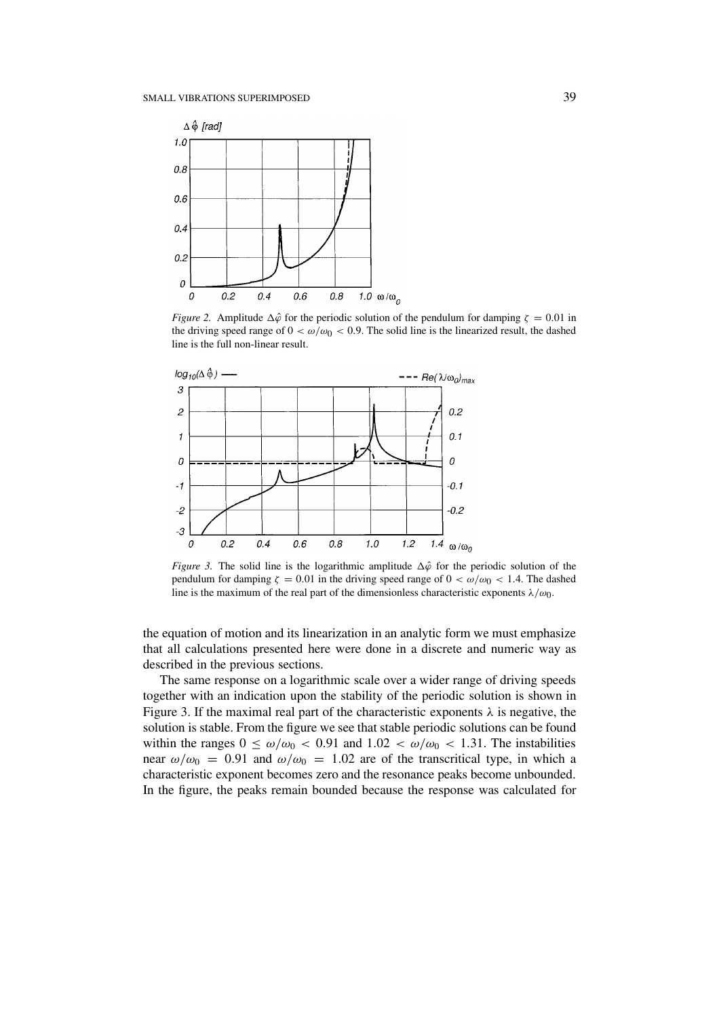

*Figure 2.* Amplitude  $\Delta\hat{\varphi}$  for the periodic solution of the pendulum for damping  $\zeta = 0.01$  in the driving speed range of  $0 < \omega/\omega_0 < 0.9$ . The solid line is the linearized result, the dashed line is the full non-linear result.



*Figure 3.* The solid line is the logarithmic amplitude  $\Delta\hat{\varphi}$  for the periodic solution of the pendulum for damping  $\zeta = 0.01$  in the driving speed range of  $0 < \omega/\omega_0 < 1.4$ . The dashed line is the maximum of the real part of the dimensionless characteristic exponents *λ/ω*0.

the equation of motion and its linearization in an analytic form we must emphasize that all calculations presented here were done in a discrete and numeric way as described in the previous sections.

The same response on a logarithmic scale over a wider range of driving speeds together with an indication upon the stability of the periodic solution is shown in Figure 3. If the maximal real part of the characteristic exponents  $\lambda$  is negative, the solution is stable. From the figure we see that stable periodic solutions can be found within the ranges  $0 \le \omega/\omega_0 < 0.91$  and  $1.02 < \omega/\omega_0 < 1.31$ . The instabilities near  $\omega/\omega_0 = 0.91$  and  $\omega/\omega_0 = 1.02$  are of the transcritical type, in which a characteristic exponent becomes zero and the resonance peaks become unbounded. In the figure, the peaks remain bounded because the response was calculated for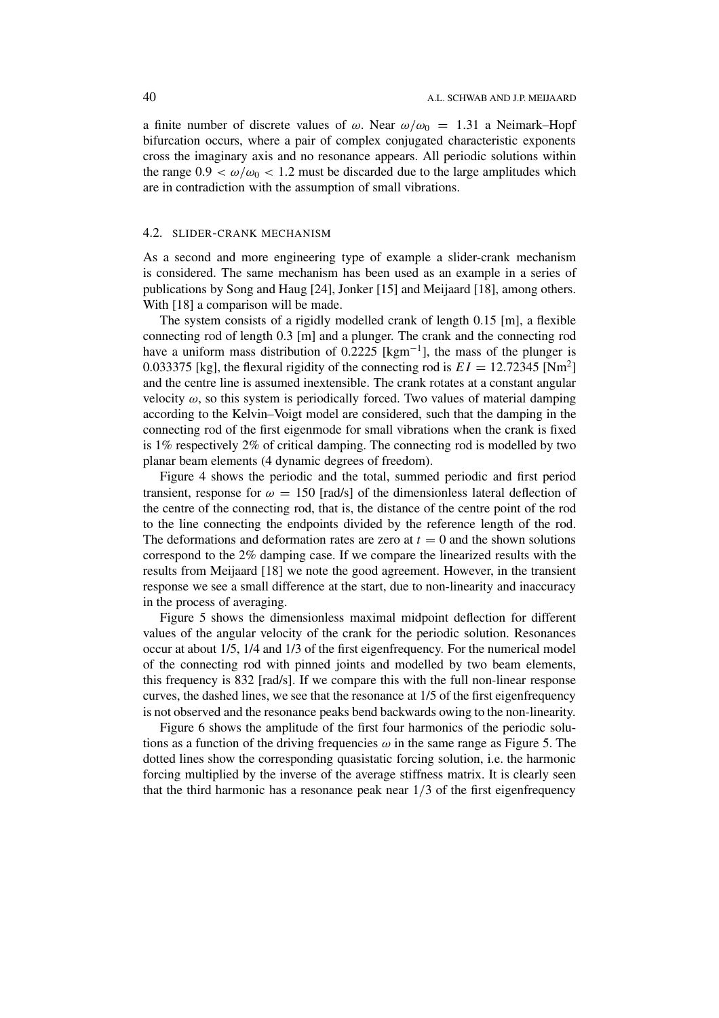a finite number of discrete values of  $\omega$ . Near  $\omega/\omega_0 = 1.31$  a Neimark–Hopf bifurcation occurs, where a pair of complex conjugated characteristic exponents cross the imaginary axis and no resonance appears. All periodic solutions within the range  $0.9 < \omega/\omega_0 < 1.2$  must be discarded due to the large amplitudes which are in contradiction with the assumption of small vibrations.

#### 4.2. SLIDER-CRANK MECHANISM

As a second and more engineering type of example a slider-crank mechanism is considered. The same mechanism has been used as an example in a series of publications by Song and Haug [24], Jonker [15] and Meijaard [18], among others. With [18] a comparison will be made.

The system consists of a rigidly modelled crank of length 0.15 [m], a flexible connecting rod of length 0.3 [m] and a plunger. The crank and the connecting rod have a uniform mass distribution of 0.2225 [ $kgm^{-1}$ ], the mass of the plunger is 0.033375 [kg], the flexural rigidity of the connecting rod is  $EI = 12.72345$  [Nm<sup>2</sup>] and the centre line is assumed inextensible. The crank rotates at a constant angular velocity  $\omega$ , so this system is periodically forced. Two values of material damping according to the Kelvin–Voigt model are considered, such that the damping in the connecting rod of the first eigenmode for small vibrations when the crank is fixed is 1% respectively 2% of critical damping. The connecting rod is modelled by two planar beam elements (4 dynamic degrees of freedom).

Figure 4 shows the periodic and the total, summed periodic and first period transient, response for  $\omega = 150$  [rad/s] of the dimensionless lateral deflection of the centre of the connecting rod, that is, the distance of the centre point of the rod to the line connecting the endpoints divided by the reference length of the rod. The deformations and deformation rates are zero at  $t = 0$  and the shown solutions correspond to the 2% damping case. If we compare the linearized results with the results from Meijaard [18] we note the good agreement. However, in the transient response we see a small difference at the start, due to non-linearity and inaccuracy in the process of averaging.

Figure 5 shows the dimensionless maximal midpoint deflection for different values of the angular velocity of the crank for the periodic solution. Resonances occur at about 1/5, 1/4 and 1/3 of the first eigenfrequency. For the numerical model of the connecting rod with pinned joints and modelled by two beam elements, this frequency is 832 [rad/s]. If we compare this with the full non-linear response curves, the dashed lines, we see that the resonance at 1/5 of the first eigenfrequency is not observed and the resonance peaks bend backwards owing to the non-linearity.

Figure 6 shows the amplitude of the first four harmonics of the periodic solutions as a function of the driving frequencies  $\omega$  in the same range as Figure 5. The dotted lines show the corresponding quasistatic forcing solution, i.e. the harmonic forcing multiplied by the inverse of the average stiffness matrix. It is clearly seen that the third harmonic has a resonance peak near 1*/*3 of the first eigenfrequency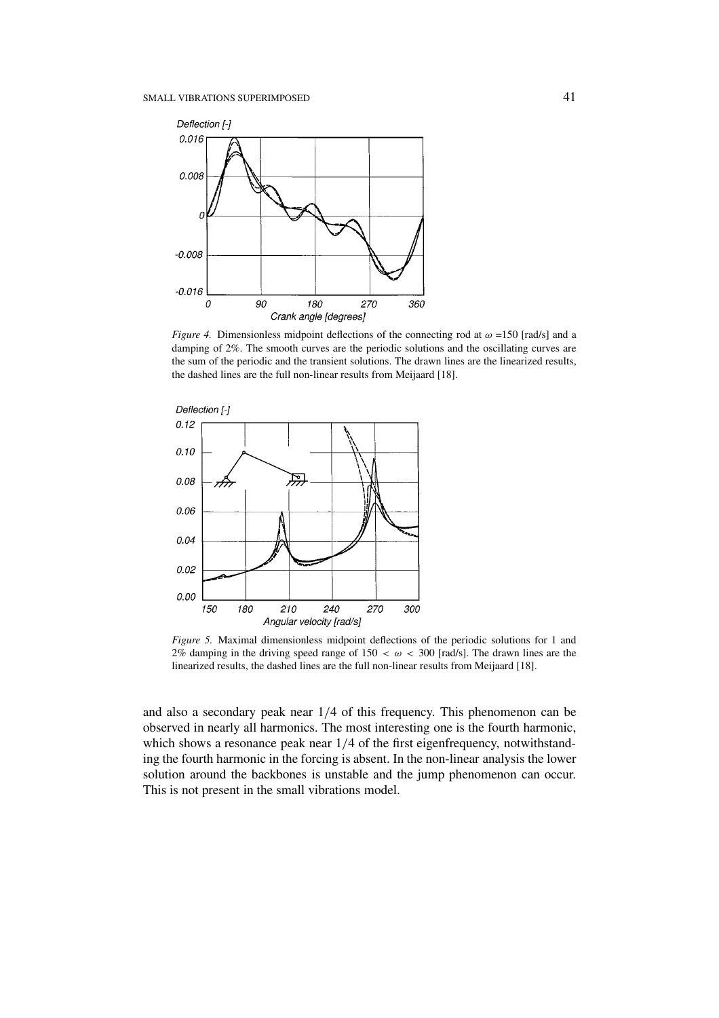

*Figure 4.* Dimensionless midpoint deflections of the connecting rod at  $\omega$  =150 [rad/s] and a damping of 2%. The smooth curves are the periodic solutions and the oscillating curves are the sum of the periodic and the transient solutions. The drawn lines are the linearized results, the dashed lines are the full non-linear results from Meijaard [18].



*Figure 5.* Maximal dimensionless midpoint deflections of the periodic solutions for 1 and 2% damping in the driving speed range of  $150 < \omega < 300$  [rad/s]. The drawn lines are the linearized results, the dashed lines are the full non-linear results from Meijaard [18].

and also a secondary peak near 1*/*4 of this frequency. This phenomenon can be observed in nearly all harmonics. The most interesting one is the fourth harmonic, which shows a resonance peak near  $1/4$  of the first eigenfrequency, notwithstanding the fourth harmonic in the forcing is absent. In the non-linear analysis the lower solution around the backbones is unstable and the jump phenomenon can occur. This is not present in the small vibrations model.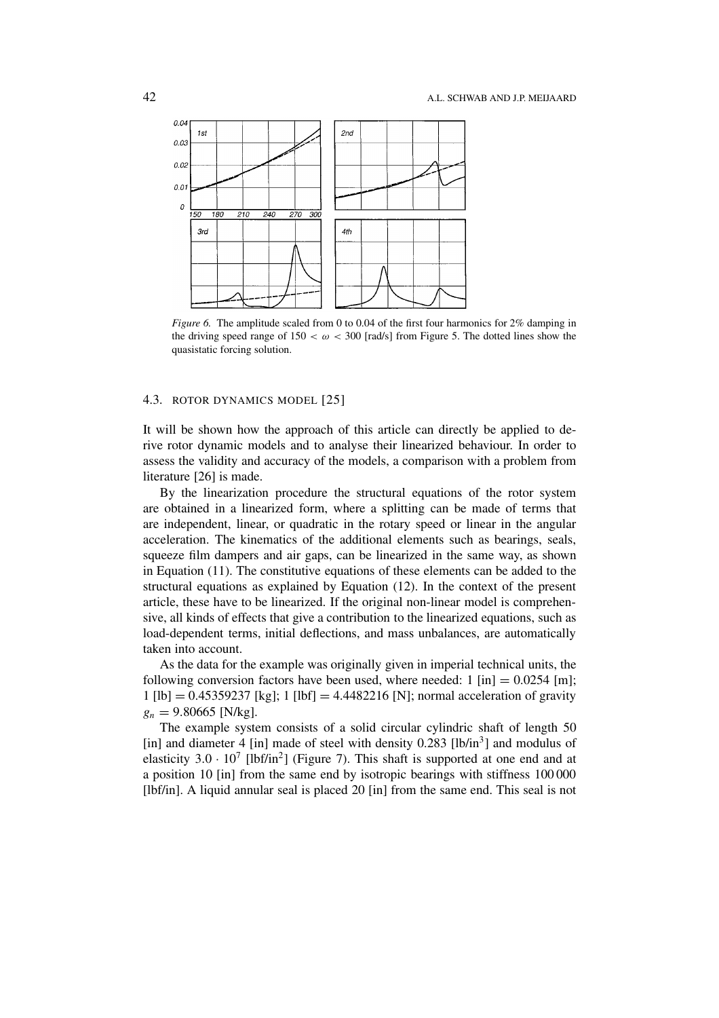

*Figure 6.* The amplitude scaled from 0 to 0.04 of the first four harmonics for 2% damping in the driving speed range of  $150 < \omega < 300$  [rad/s] from Figure 5. The dotted lines show the quasistatic forcing solution.

## 4.3. ROTOR DYNAMICS MODEL [25]

It will be shown how the approach of this article can directly be applied to derive rotor dynamic models and to analyse their linearized behaviour. In order to assess the validity and accuracy of the models, a comparison with a problem from literature [26] is made.

By the linearization procedure the structural equations of the rotor system are obtained in a linearized form, where a splitting can be made of terms that are independent, linear, or quadratic in the rotary speed or linear in the angular acceleration. The kinematics of the additional elements such as bearings, seals, squeeze film dampers and air gaps, can be linearized in the same way, as shown in Equation (11). The constitutive equations of these elements can be added to the structural equations as explained by Equation (12). In the context of the present article, these have to be linearized. If the original non-linear model is comprehensive, all kinds of effects that give a contribution to the linearized equations, such as load-dependent terms, initial deflections, and mass unbalances, are automatically taken into account.

As the data for the example was originally given in imperial technical units, the following conversion factors have been used, where needed:  $1 \text{ [in]} = 0.0254 \text{ [m]}$ ; 1 [lb] = 0.45359237 [kg]; 1 [lbf] = 4.4482216 [N]; normal acceleration of gravity  $g_n = 9.80665$  [N/kg].

The example system consists of a solid circular cylindric shaft of length 50 [in] and diameter 4 [in] made of steel with density  $0.283$  [lb/in<sup>3</sup>] and modulus of elasticity  $3.0 \cdot 10^7$  [lbf/in<sup>2</sup>] (Figure 7). This shaft is supported at one end and at a position 10 [in] from the same end by isotropic bearings with stiffness 100 000 [lbf/in]. A liquid annular seal is placed 20 [in] from the same end. This seal is not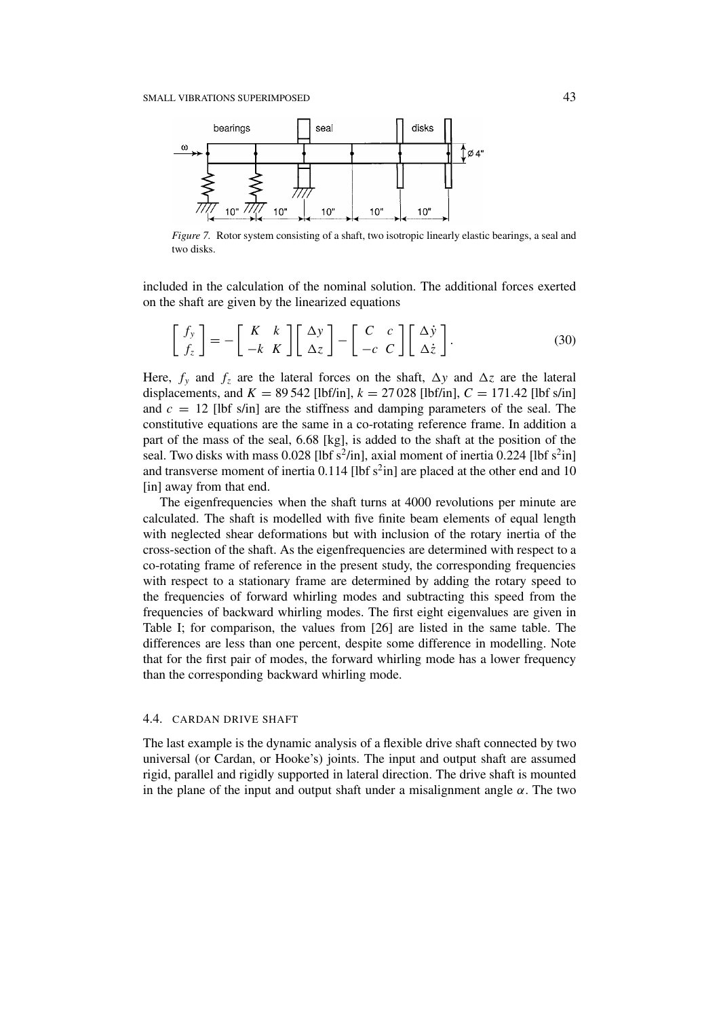

*Figure 7.* Rotor system consisting of a shaft, two isotropic linearly elastic bearings, a seal and two disks.

included in the calculation of the nominal solution. The additional forces exerted on the shaft are given by the linearized equations

$$
\begin{bmatrix} f_{y} \\ f_{z} \end{bmatrix} = -\begin{bmatrix} K & k \\ -k & K \end{bmatrix} \begin{bmatrix} \Delta y \\ \Delta z \end{bmatrix} - \begin{bmatrix} C & c \\ -c & C \end{bmatrix} \begin{bmatrix} \Delta \dot{y} \\ \Delta \dot{z} \end{bmatrix}.
$$
 (30)

Here,  $f_y$  and  $f_z$  are the lateral forces on the shaft,  $\Delta y$  and  $\Delta z$  are the lateral displacements, and  $K = 89542$  [lbf/in],  $k = 27028$  [lbf/in],  $C = 171.42$  [lbf s/in] and  $c = 12$  [lbf s/in] are the stiffness and damping parameters of the seal. The constitutive equations are the same in a co-rotating reference frame. In addition a part of the mass of the seal, 6.68 [kg], is added to the shaft at the position of the seal. Two disks with mass 0.028 [lbf  $s^2$ /in], axial moment of inertia 0.224 [lbf  $s^2$ in] and transverse moment of inertia  $0.114$  [lbf s<sup>2</sup>in] are placed at the other end and 10 [in] away from that end.

The eigenfrequencies when the shaft turns at 4000 revolutions per minute are calculated. The shaft is modelled with five finite beam elements of equal length with neglected shear deformations but with inclusion of the rotary inertia of the cross-section of the shaft. As the eigenfrequencies are determined with respect to a co-rotating frame of reference in the present study, the corresponding frequencies with respect to a stationary frame are determined by adding the rotary speed to the frequencies of forward whirling modes and subtracting this speed from the frequencies of backward whirling modes. The first eight eigenvalues are given in Table I; for comparison, the values from [26] are listed in the same table. The differences are less than one percent, despite some difference in modelling. Note that for the first pair of modes, the forward whirling mode has a lower frequency than the corresponding backward whirling mode.

#### 4.4. CARDAN DRIVE SHAFT

The last example is the dynamic analysis of a flexible drive shaft connected by two universal (or Cardan, or Hooke's) joints. The input and output shaft are assumed rigid, parallel and rigidly supported in lateral direction. The drive shaft is mounted in the plane of the input and output shaft under a misalignment angle  $\alpha$ . The two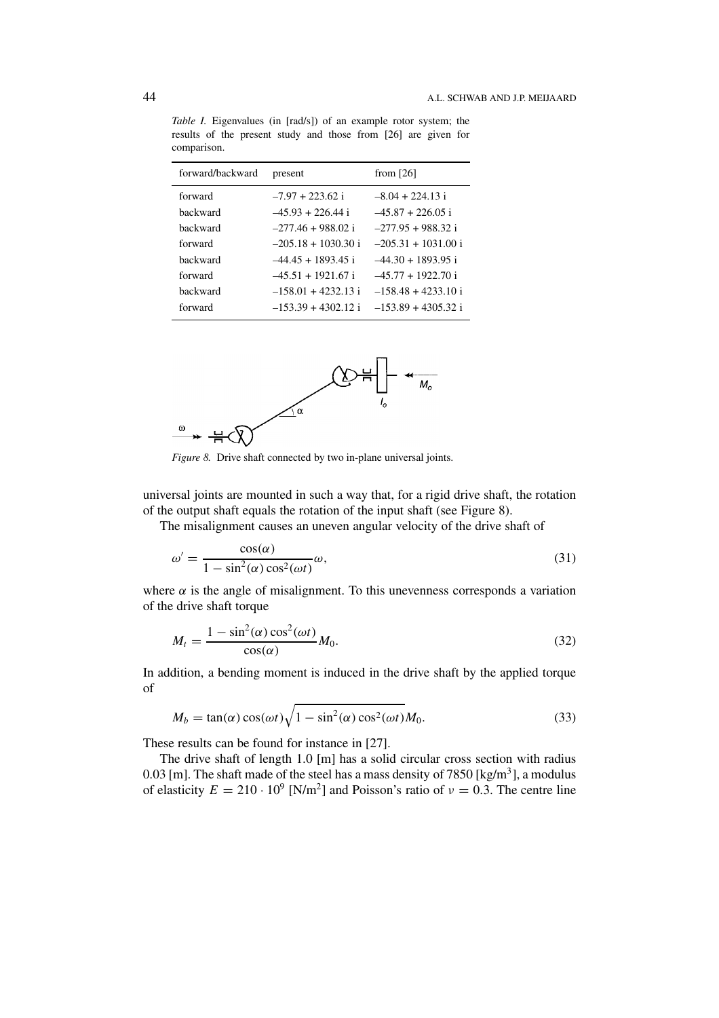| forward/backward | present               | from $[26]$           |
|------------------|-----------------------|-----------------------|
| forward          | $-7.97 + 223.62$ i    | $-8.04 + 224.13$ i    |
| <b>backward</b>  | $-45.93 + 226.44$ i   | $-45.87 + 226.05$ i   |
| <b>backward</b>  | $-277.46 + 988.02$ i  | $-277.95 + 988.32$ i  |
| forward          | $-205.18 + 1030.30$ i | $-205.31 + 1031.00$ i |
| <b>backward</b>  | $-44.45 + 1893.45$ i  | $-44.30 + 1893.95$ i  |
| forward          | $-45.51 + 1921.67$ i  | $-45.77 + 1922.70$ i  |
| <b>backward</b>  | $-158.01 + 4232.13$ i | $-158.48 + 4233.10$ i |
| forward          | $-153.39 + 4302.12$ i | $-153.89 + 4305.32$ i |

*Table I.* Eigenvalues (in [rad/s]) of an example rotor system; the results of the present study and those from [26] are given for comparison.



*Figure 8.* Drive shaft connected by two in-plane universal joints.

universal joints are mounted in such a way that, for a rigid drive shaft, the rotation of the output shaft equals the rotation of the input shaft (see Figure 8).

The misalignment causes an uneven angular velocity of the drive shaft of

$$
\omega' = \frac{\cos(\alpha)}{1 - \sin^2(\alpha)\cos^2(\omega t)}\omega,
$$
\n(31)

where  $\alpha$  is the angle of misalignment. To this unevenness corresponds a variation of the drive shaft torque

$$
M_t = \frac{1 - \sin^2(\alpha)\cos^2(\omega t)}{\cos(\alpha)}M_0.
$$
 (32)

In addition, a bending moment is induced in the drive shaft by the applied torque of

$$
M_b = \tan(\alpha)\cos(\omega t)\sqrt{1 - \sin^2(\alpha)\cos^2(\omega t)}M_0.
$$
 (33)

These results can be found for instance in [27].

The drive shaft of length 1.0 [m] has a solid circular cross section with radius 0.03 [m]. The shaft made of the steel has a mass density of 7850  $\lceil \frac{kg}{m^3} \rceil$ , a modulus of elasticity  $E = 210 \cdot 10^9$  [N/m<sup>2</sup>] and Poisson's ratio of  $v = 0.3$ . The centre line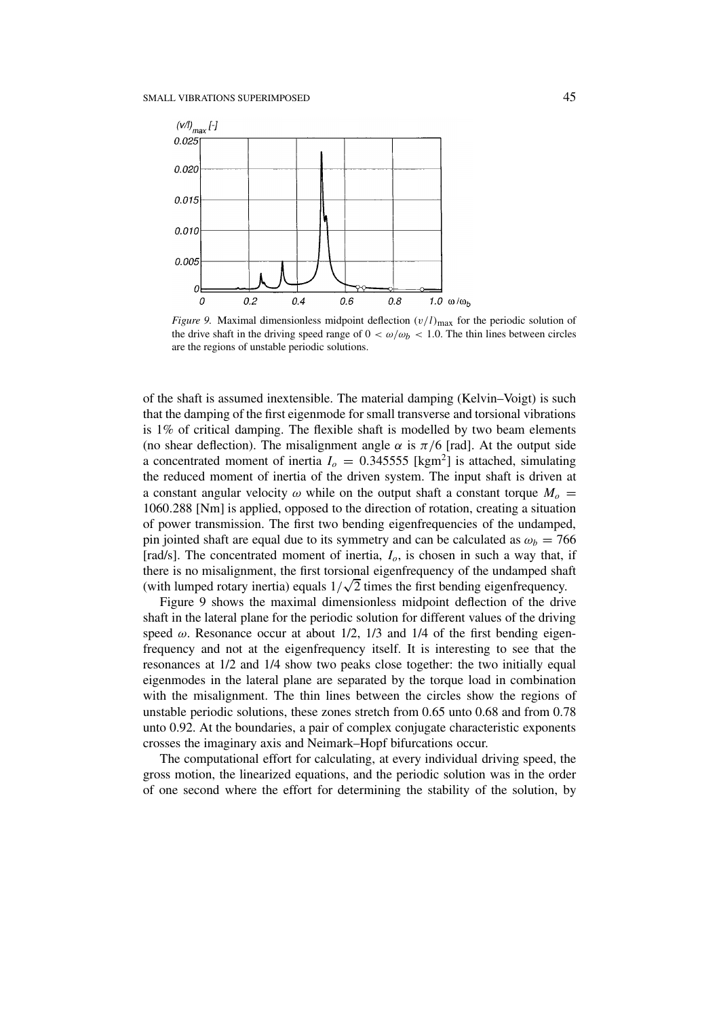

*Figure 9.* Maximal dimensionless midpoint deflection  $(v/l)_{\text{max}}$  for the periodic solution of the drive shaft in the driving speed range of  $0 < \omega/\omega_b < 1.0$ . The thin lines between circles are the regions of unstable periodic solutions.

of the shaft is assumed inextensible. The material damping (Kelvin–Voigt) is such that the damping of the first eigenmode for small transverse and torsional vibrations is 1% of critical damping. The flexible shaft is modelled by two beam elements (no shear deflection). The misalignment angle  $\alpha$  is  $\pi/6$  [rad]. At the output side a concentrated moment of inertia  $I<sub>o</sub> = 0.345555$  [kgm<sup>2</sup>] is attached, simulating the reduced moment of inertia of the driven system. The input shaft is driven at a constant angular velocity  $\omega$  while on the output shaft a constant torque  $M_0 =$ 1060*.*288 [Nm] is applied, opposed to the direction of rotation, creating a situation of power transmission. The first two bending eigenfrequencies of the undamped, pin jointed shaft are equal due to its symmetry and can be calculated as  $\omega_b = 766$ [rad/s]. The concentrated moment of inertia,  $I<sub>o</sub>$ , is chosen in such a way that, if there is no misalignment, the first torsional eigenfrequency of the undamped shaft there is no misalignment, the first torsional eigenfrequency of the undamped sha<br>(with lumped rotary inertia) equals  $1/\sqrt{2}$  times the first bending eigenfrequency.

Figure 9 shows the maximal dimensionless midpoint deflection of the drive shaft in the lateral plane for the periodic solution for different values of the driving speed  $\omega$ . Resonance occur at about  $1/2$ ,  $1/3$  and  $1/4$  of the first bending eigenfrequency and not at the eigenfrequency itself. It is interesting to see that the resonances at 1/2 and 1/4 show two peaks close together: the two initially equal eigenmodes in the lateral plane are separated by the torque load in combination with the misalignment. The thin lines between the circles show the regions of unstable periodic solutions, these zones stretch from 0.65 unto 0.68 and from 0.78 unto 0.92. At the boundaries, a pair of complex conjugate characteristic exponents crosses the imaginary axis and Neimark–Hopf bifurcations occur.

The computational effort for calculating, at every individual driving speed, the gross motion, the linearized equations, and the periodic solution was in the order of one second where the effort for determining the stability of the solution, by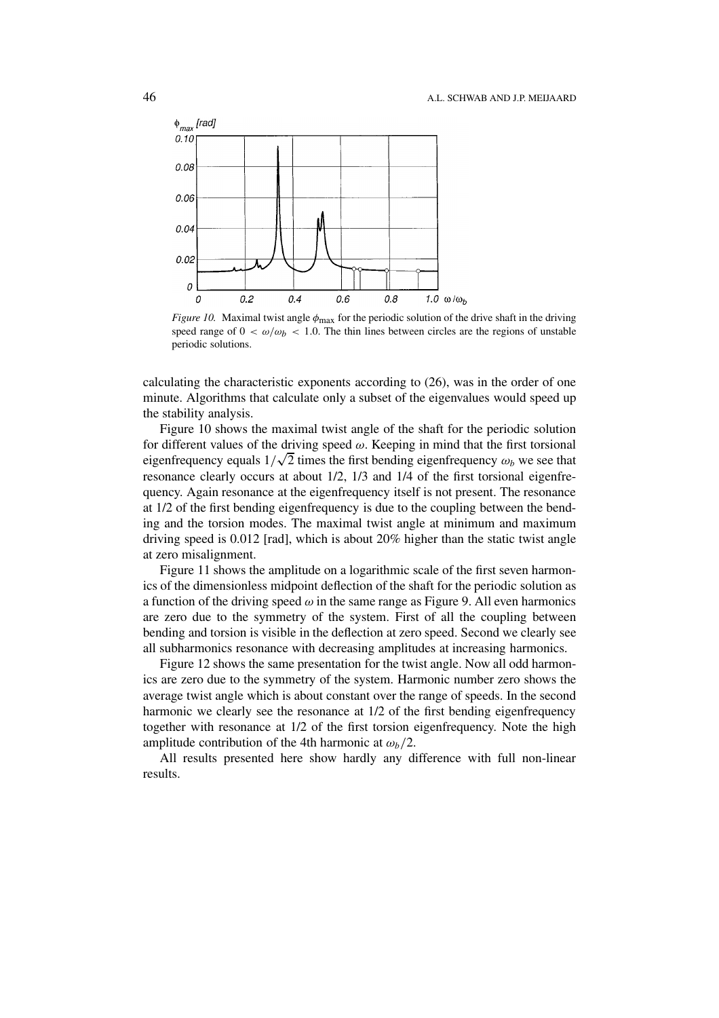

*Figure 10.* Maximal twist angle *φ*max for the periodic solution of the drive shaft in the driving speed range of  $0 < \omega/\omega_b < 1.0$ . The thin lines between circles are the regions of unstable periodic solutions.

calculating the characteristic exponents according to (26), was in the order of one minute. Algorithms that calculate only a subset of the eigenvalues would speed up the stability analysis.

Figure 10 shows the maximal twist angle of the shaft for the periodic solution for different values of the driving speed *ω*. Keeping in mind that the first torsional for different values of the driving speed  $\omega$ . Keeping in mind that the first torsional eigenfrequency equals  $1/\sqrt{2}$  times the first bending eigenfrequency  $\omega_b$  we see that resonance clearly occurs at about 1/2, 1/3 and 1/4 of the first torsional eigenfrequency. Again resonance at the eigenfrequency itself is not present. The resonance at 1/2 of the first bending eigenfrequency is due to the coupling between the bending and the torsion modes. The maximal twist angle at minimum and maximum driving speed is 0.012 [rad], which is about 20% higher than the static twist angle at zero misalignment.

Figure 11 shows the amplitude on a logarithmic scale of the first seven harmonics of the dimensionless midpoint deflection of the shaft for the periodic solution as a function of the driving speed  $\omega$  in the same range as Figure 9. All even harmonics are zero due to the symmetry of the system. First of all the coupling between bending and torsion is visible in the deflection at zero speed. Second we clearly see all subharmonics resonance with decreasing amplitudes at increasing harmonics.

Figure 12 shows the same presentation for the twist angle. Now all odd harmonics are zero due to the symmetry of the system. Harmonic number zero shows the average twist angle which is about constant over the range of speeds. In the second harmonic we clearly see the resonance at 1/2 of the first bending eigenfrequency together with resonance at 1/2 of the first torsion eigenfrequency. Note the high amplitude contribution of the 4th harmonic at  $\omega_b/2$ .

All results presented here show hardly any difference with full non-linear results.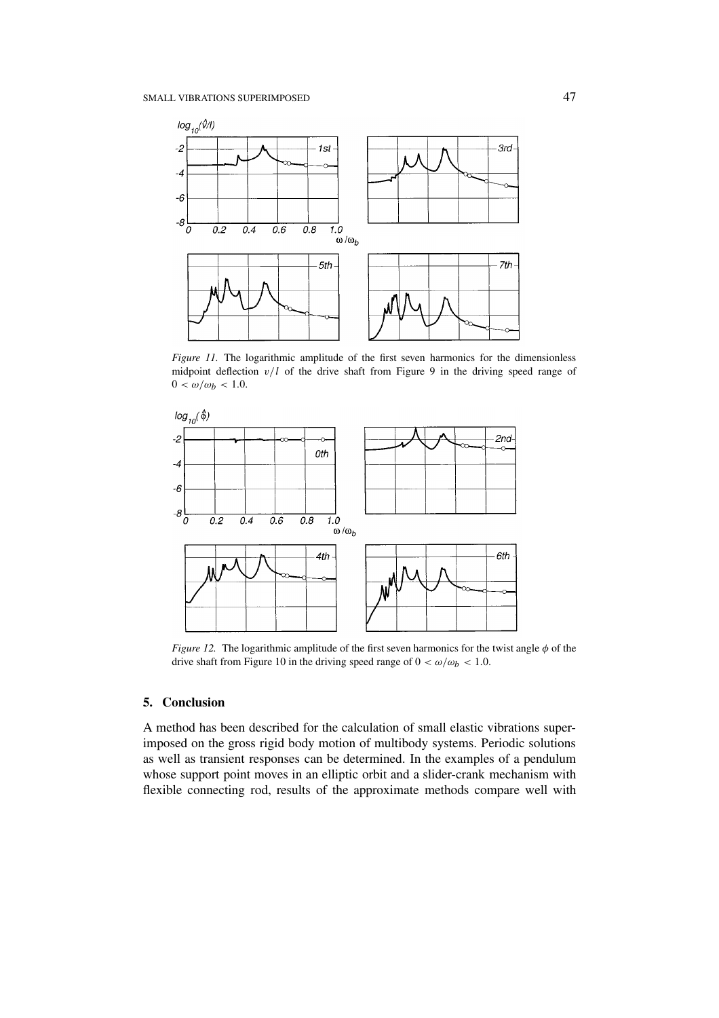

*Figure 11.* The logarithmic amplitude of the first seven harmonics for the dimensionless midpoint deflection  $v/l$  of the drive shaft from Figure 9 in the driving speed range of  $0 < \omega/\omega_b < 1.0$ .



*Figure 12.* The logarithmic amplitude of the first seven harmonics for the twist angle *φ* of the drive shaft from Figure 10 in the driving speed range of  $0 < \omega/\omega_b < 1.0$ .

# **5. Conclusion**

A method has been described for the calculation of small elastic vibrations superimposed on the gross rigid body motion of multibody systems. Periodic solutions as well as transient responses can be determined. In the examples of a pendulum whose support point moves in an elliptic orbit and a slider-crank mechanism with flexible connecting rod, results of the approximate methods compare well with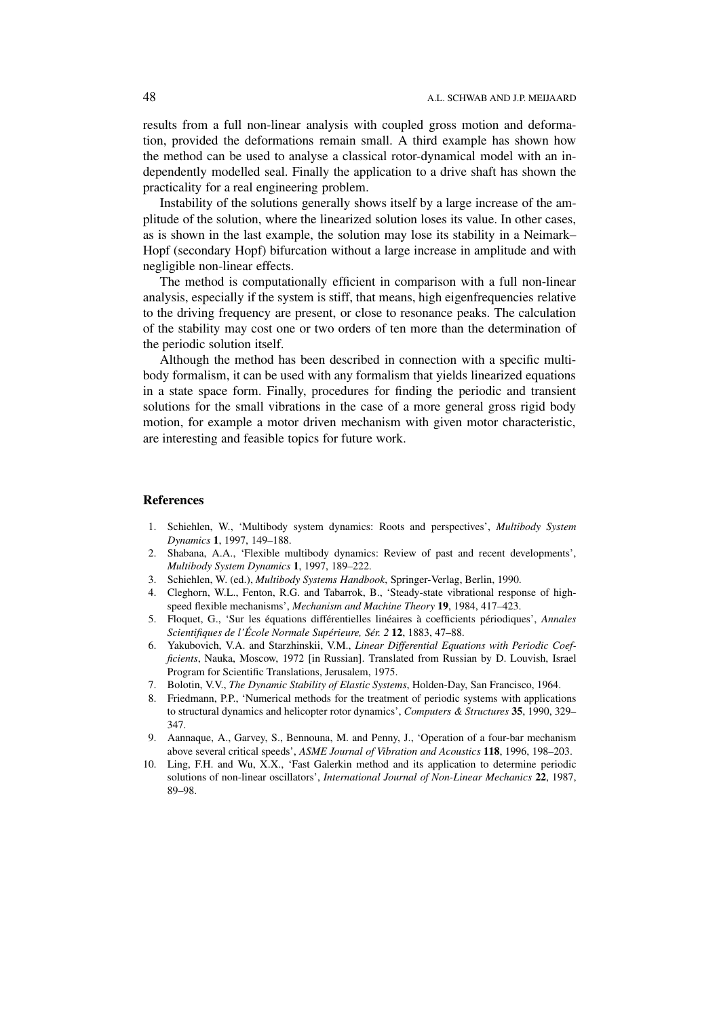results from a full non-linear analysis with coupled gross motion and deformation, provided the deformations remain small. A third example has shown how the method can be used to analyse a classical rotor-dynamical model with an independently modelled seal. Finally the application to a drive shaft has shown the practicality for a real engineering problem.

Instability of the solutions generally shows itself by a large increase of the amplitude of the solution, where the linearized solution loses its value. In other cases, as is shown in the last example, the solution may lose its stability in a Neimark– Hopf (secondary Hopf) bifurcation without a large increase in amplitude and with negligible non-linear effects.

The method is computationally efficient in comparison with a full non-linear analysis, especially if the system is stiff, that means, high eigenfrequencies relative to the driving frequency are present, or close to resonance peaks. The calculation of the stability may cost one or two orders of ten more than the determination of the periodic solution itself.

Although the method has been described in connection with a specific multibody formalism, it can be used with any formalism that yields linearized equations in a state space form. Finally, procedures for finding the periodic and transient solutions for the small vibrations in the case of a more general gross rigid body motion, for example a motor driven mechanism with given motor characteristic, are interesting and feasible topics for future work.

## **References**

- 1. Schiehlen, W., 'Multibody system dynamics: Roots and perspectives', *Multibody System Dynamics* **1**, 1997, 149–188.
- 2. Shabana, A.A., 'Flexible multibody dynamics: Review of past and recent developments', *Multibody System Dynamics* **1**, 1997, 189–222.
- 3. Schiehlen, W. (ed.), *Multibody Systems Handbook*, Springer-Verlag, Berlin, 1990.
- 4. Cleghorn, W.L., Fenton, R.G. and Tabarrok, B., 'Steady-state vibrational response of highspeed flexible mechanisms', *Mechanism and Machine Theory* **19**, 1984, 417–423.
- 5. Floquet, G., 'Sur les équations différentielles linéaires à coefficients périodiques', *Annales Scientifiques de l'École Normale Supérieure, Sér. 2* **12**, 1883, 47–88.
- 6. Yakubovich, V.A. and Starzhinskii, V.M., *Linear Differential Equations with Periodic Coefficients*, Nauka, Moscow, 1972 [in Russian]. Translated from Russian by D. Louvish, Israel Program for Scientific Translations, Jerusalem, 1975.
- 7. Bolotin, V.V., *The Dynamic Stability of Elastic Systems*, Holden-Day, San Francisco, 1964.
- 8. Friedmann, P.P., 'Numerical methods for the treatment of periodic systems with applications to structural dynamics and helicopter rotor dynamics', *Computers & Structures* **35**, 1990, 329– 347.
- 9. Aannaque, A., Garvey, S., Bennouna, M. and Penny, J., 'Operation of a four-bar mechanism above several critical speeds', *ASME Journal of Vibration and Acoustics* **118**, 1996, 198–203.
- 10. Ling, F.H. and Wu, X.X., 'Fast Galerkin method and its application to determine periodic solutions of non-linear oscillators', *International Journal of Non-Linear Mechanics* **22**, 1987, 89–98.